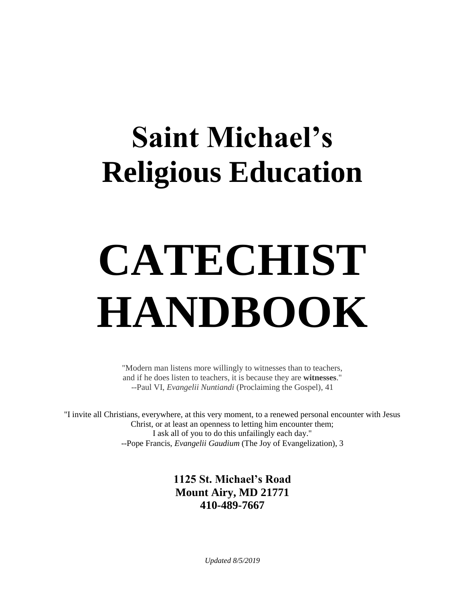# **Saint Michael's Religious Education**

# **CATECHIST HANDBOOK**

"Modern man listens more willingly to witnesses than to teachers, and if he does listen to teachers, it is because they are **witnesses**." --Paul VI, *Evangelii Nuntiandi* (Proclaiming the Gospel), 41

"I invite all Christians, everywhere, at this very moment, to a renewed personal encounter with Jesus Christ, or at least an openness to letting him encounter them; I ask all of you to do this unfailingly each day." --Pope Francis, *Evangelii Gaudium* (The Joy of Evangelization), 3

> **1125 St. Michael's Road Mount Airy, MD 21771 410-489-7667**

> > *Updated 8/5/2019*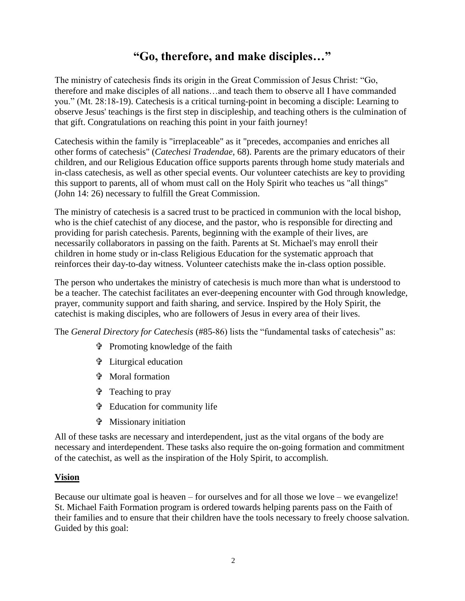# **"Go, therefore, and make disciples…"**

The ministry of catechesis finds its origin in the Great Commission of Jesus Christ: "Go, therefore and make disciples of all nations…and teach them to observe all I have commanded you." (Mt. 28:18-19). Catechesis is a critical turning-point in becoming a disciple: Learning to observe Jesus' teachings is the first step in discipleship, and teaching others is the culmination of that gift. Congratulations on reaching this point in your faith journey!

Catechesis within the family is "irreplaceable" as it "precedes, accompanies and enriches all other forms of catechesis" (*Catechesi Tradendae*, 68). Parents are the primary educators of their children, and our Religious Education office supports parents through home study materials and in-class catechesis, as well as other special events. Our volunteer catechists are key to providing this support to parents, all of whom must call on the Holy Spirit who teaches us "all things" (John 14: 26) necessary to fulfill the Great Commission.

The ministry of catechesis is a sacred trust to be practiced in communion with the local bishop, who is the chief catechist of any diocese, and the pastor, who is responsible for directing and providing for parish catechesis. Parents, beginning with the example of their lives, are necessarily collaborators in passing on the faith. Parents at St. Michael's may enroll their children in home study or in-class Religious Education for the systematic approach that reinforces their day-to-day witness. Volunteer catechists make the in-class option possible.

The person who undertakes the ministry of catechesis is much more than what is understood to be a teacher. The catechist facilitates an ever-deepening encounter with God through knowledge, prayer, community support and faith sharing, and service. Inspired by the Holy Spirit, the catechist is making disciples, who are followers of Jesus in every area of their lives.

The *General Directory for Catechesis* (#85-86) lists the "fundamental tasks of catechesis" as:

- Promoting knowledge of the faith
- Liturgical education
- Moral formation
- Teaching to pray
- Education for community life
- Missionary initiation

All of these tasks are necessary and interdependent, just as the vital organs of the body are necessary and interdependent. These tasks also require the on-going formation and commitment of the catechist, as well as the inspiration of the Holy Spirit, to accomplish.

#### **Vision**

Because our ultimate goal is heaven – for ourselves and for all those we love – we evangelize! St. Michael Faith Formation program is ordered towards helping parents pass on the Faith of their families and to ensure that their children have the tools necessary to freely choose salvation. Guided by this goal: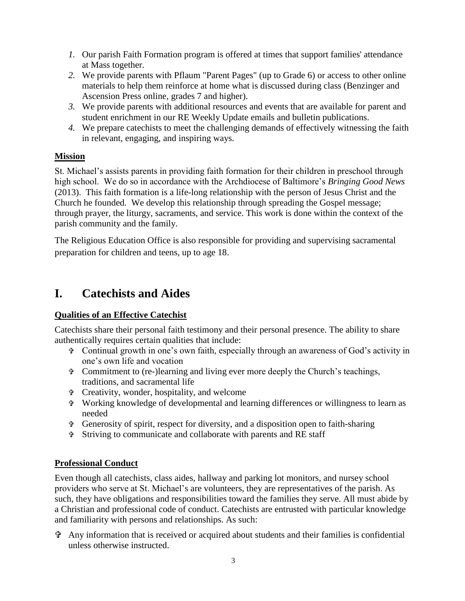- *1.* Our parish Faith Formation program is offered at times that support families' attendance at Mass together.
- *2.* We provide parents with Pflaum "Parent Pages" (up to Grade 6) or access to other online materials to help them reinforce at home what is discussed during class (Benzinger and Ascension Press online, grades 7 and higher).
- *3.* We provide parents with additional resources and events that are available for parent and student enrichment in our RE Weekly Update emails and bulletin publications.
- *4.* We prepare catechists to meet the challenging demands of effectively witnessing the faith in relevant, engaging, and inspiring ways.

#### **Mission**

St. Michael's assists parents in providing faith formation for their children in preschool through high school. We do so in accordance with the Archdiocese of Baltimore's *Bringing Good News*  (2013).This faith formation is a life-long relationship with the person of Jesus Christ and the Church he founded. We develop this relationship through spreading the Gospel message; through prayer, the liturgy, sacraments, and service. This work is done within the context of the parish community and the family.

The Religious Education Office is also responsible for providing and supervising sacramental preparation for children and teens, up to age 18.

# **I. Catechists and Aides**

#### **Qualities of an Effective Catechist**

Catechists share their personal faith testimony and their personal presence. The ability to share authentically requires certain qualities that include:

- Continual growth in one's own faith, especially through an awareness of God's activity in one's own life and vocation
- Commitment to (re-)learning and living ever more deeply the Church's teachings, traditions, and sacramental life
- Creativity, wonder, hospitality, and welcome
- Working knowledge of developmental and learning differences or willingness to learn as needed
- Generosity of spirit, respect for diversity, and a disposition open to faith-sharing
- Striving to communicate and collaborate with parents and RE staff

#### **Professional Conduct**

Even though all catechists, class aides, hallway and parking lot monitors, and nursey school providers who serve at St. Michael's are volunteers, they are representatives of the parish. As such, they have obligations and responsibilities toward the families they serve. All must abide by a Christian and professional code of conduct. Catechists are entrusted with particular knowledge and familiarity with persons and relationships. As such:

 $\hat{\mathbf{\tau}}$  Any information that is received or acquired about students and their families is confidential unless otherwise instructed.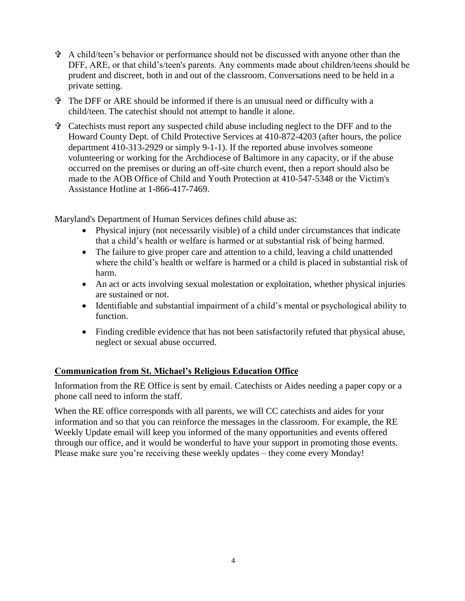- A child/teen's behavior or performance should not be discussed with anyone other than the DFF, ARE, or that child's/teen's parents. Any comments made about children/teens should be prudent and discreet, both in and out of the classroom. Conversations need to be held in a private setting.
- The DFF or ARE should be informed if there is an unusual need or difficulty with a child/teen. The catechist should not attempt to handle it alone.
- Catechists must report any suspected child abuse including neglect to the DFF and to the Howard County Dept. of Child Protective Services at 410-872-4203 (after hours, the police department 410-313-2929 or simply 9-1-1). If the reported abuse involves someone volunteering or working for the Archdiocese of Baltimore in any capacity, or if the abuse occurred on the premises or during an off-site church event, then a report should also be made to the AOB Office of Child and Youth Protection at 410-547-5348 or the Victim's Assistance Hotline at 1-866-417-7469.

Maryland's Department of Human Services defines child abuse as:

- Physical injury (not necessarily visible) of a child under circumstances that indicate that a child's health or welfare is harmed or at substantial risk of being harmed.
- The failure to give proper care and attention to a child, leaving a child unattended where the child's health or welfare is harmed or a child is placed in substantial risk of harm.
- An act or acts involving sexual molestation or exploitation, whether physical injuries are sustained or not.
- Identifiable and substantial impairment of a child's mental or psychological ability to function.
- Finding credible evidence that has not been satisfactorily refuted that physical abuse, neglect or sexual abuse occurred.

#### **Communication from St. Michael's Religious Education Office**

Information from the RE Office is sent by email. Catechists or Aides needing a paper copy or a phone call need to inform the staff.

When the RE office corresponds with all parents, we will CC catechists and aides for your information and so that you can reinforce the messages in the classroom. For example, the RE Weekly Update email will keep you informed of the many opportunities and events offered through our office, and it would be wonderful to have your support in promoting those events. Please make sure you're receiving these weekly updates – they come every Monday!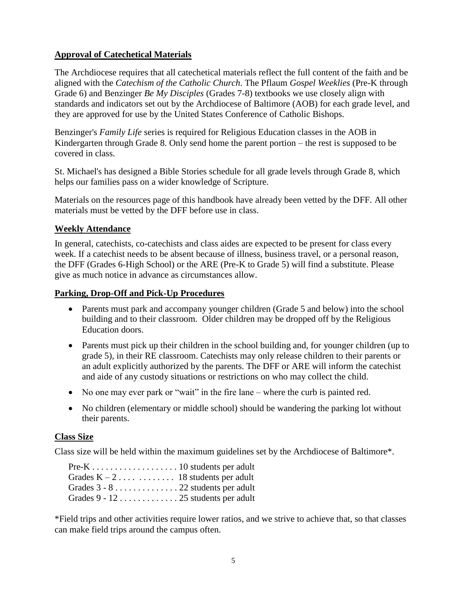#### **Approval of Catechetical Materials**

The Archdiocese requires that all catechetical materials reflect the full content of the faith and be aligned with the *Catechism of the Catholic Church*. The Pflaum *Gospel Weeklies* (Pre-K through Grade 6) and Benzinger *Be My Disciples* (Grades 7-8) textbooks we use closely align with standards and indicators set out by the Archdiocese of Baltimore (AOB) for each grade level, and they are approved for use by the United States Conference of Catholic Bishops.

Benzinger's *Family Life* series is required for Religious Education classes in the AOB in Kindergarten through Grade 8. Only send home the parent portion – the rest is supposed to be covered in class.

St. Michael's has designed a Bible Stories schedule for all grade levels through Grade 8, which helps our families pass on a wider knowledge of Scripture.

Materials on the resources page of this handbook have already been vetted by the DFF. All other materials must be vetted by the DFF before use in class.

#### **Weekly Attendance**

In general, catechists, co-catechists and class aides are expected to be present for class every week. If a catechist needs to be absent because of illness, business travel, or a personal reason, the DFF (Grades 6-High School) or the ARE (Pre-K to Grade 5) will find a substitute. Please give as much notice in advance as circumstances allow.

#### **Parking, Drop-Off and Pick-Up Procedures**

- Parents must park and accompany younger children (Grade 5 and below) into the school building and to their classroom. Older children may be dropped off by the Religious Education doors.
- Parents must pick up their children in the school building and, for younger children (up to grade 5), in their RE classroom. Catechists may only release children to their parents or an adult explicitly authorized by the parents. The DFF or ARE will inform the catechist and aide of any custody situations or restrictions on who may collect the child.
- No one may ever park or "wait" in the fire lane where the curb is painted red.
- No children (elementary or middle school) should be wandering the parking lot without their parents.

#### **Class Size**

Class size will be held within the maximum guidelines set by the Archdiocese of Baltimore\*.

\*Field trips and other activities require lower ratios, and we strive to achieve that, so that classes can make field trips around the campus often.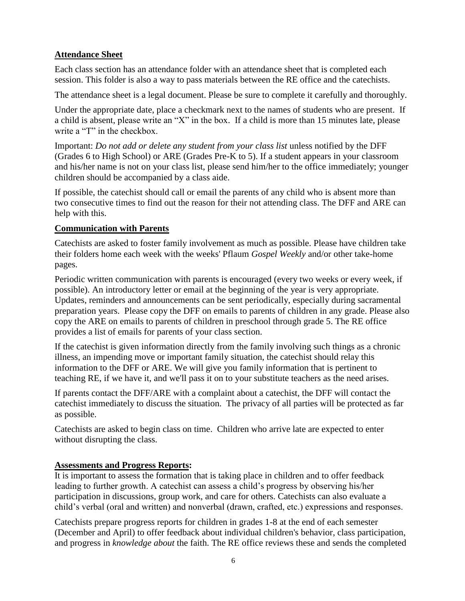#### **Attendance Sheet**

Each class section has an attendance folder with an attendance sheet that is completed each session. This folder is also a way to pass materials between the RE office and the catechists.

The attendance sheet is a legal document. Please be sure to complete it carefully and thoroughly.

Under the appropriate date, place a checkmark next to the names of students who are present. If a child is absent, please write an "X" in the box. If a child is more than 15 minutes late, please write a "T" in the checkbox.

Important: *Do not add or delete any student from your class list* unless notified by the DFF (Grades 6 to High School) or ARE (Grades Pre-K to 5). If a student appears in your classroom and his/her name is not on your class list, please send him/her to the office immediately; younger children should be accompanied by a class aide.

If possible, the catechist should call or email the parents of any child who is absent more than two consecutive times to find out the reason for their not attending class. The DFF and ARE can help with this.

#### **Communication with Parents**

Catechists are asked to foster family involvement as much as possible. Please have children take their folders home each week with the weeks' Pflaum *Gospel Weekly* and/or other take-home pages.

Periodic written communication with parents is encouraged (every two weeks or every week, if possible). An introductory letter or email at the beginning of the year is very appropriate. Updates, reminders and announcements can be sent periodically, especially during sacramental preparation years. Please copy the DFF on emails to parents of children in any grade. Please also copy the ARE on emails to parents of children in preschool through grade 5. The RE office provides a list of emails for parents of your class section.

If the catechist is given information directly from the family involving such things as a chronic illness, an impending move or important family situation, the catechist should relay this information to the DFF or ARE. We will give you family information that is pertinent to teaching RE, if we have it, and we'll pass it on to your substitute teachers as the need arises.

If parents contact the DFF/ARE with a complaint about a catechist, the DFF will contact the catechist immediately to discuss the situation. The privacy of all parties will be protected as far as possible.

Catechists are asked to begin class on time. Children who arrive late are expected to enter without disrupting the class.

#### **Assessments and Progress Reports:**

It is important to assess the formation that is taking place in children and to offer feedback leading to further growth. A catechist can assess a child's progress by observing his/her participation in discussions, group work, and care for others. Catechists can also evaluate a child's verbal (oral and written) and nonverbal (drawn, crafted, etc.) expressions and responses.

Catechists prepare progress reports for children in grades 1-8 at the end of each semester (December and April) to offer feedback about individual children's behavior, class participation, and progress in *knowledge about* the faith. The RE office reviews these and sends the completed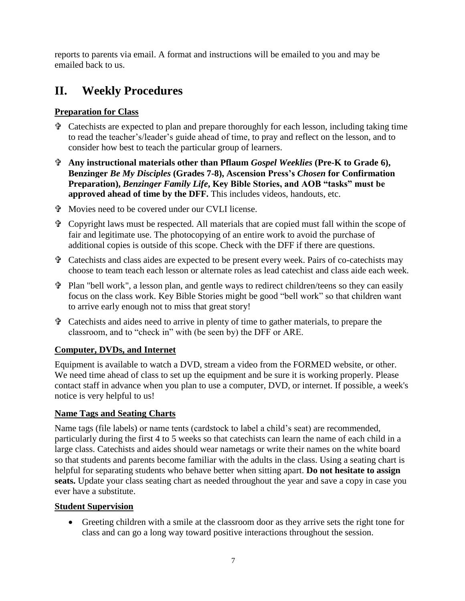reports to parents via email. A format and instructions will be emailed to you and may be emailed back to us.

# **II. Weekly Procedures**

#### **Preparation for Class**

- $\hat{\tau}$  Catechists are expected to plan and prepare thoroughly for each lesson, including taking time to read the teacher's/leader's guide ahead of time, to pray and reflect on the lesson, and to consider how best to teach the particular group of learners.
- **Any instructional materials other than Pflaum** *Gospel Weeklies* **(Pre-K to Grade 6), Benzinger** *Be My Disciples* **(Grades 7-8), Ascension Press's** *Chosen* **for Confirmation Preparation),** *Benzinger Family Life***, Key Bible Stories, and AOB "tasks" must be approved ahead of time by the DFF.** This includes videos, handouts, etc.
- Movies need to be covered under our CVLI license.
- Copyright laws must be respected. All materials that are copied must fall within the scope of fair and legitimate use. The photocopying of an entire work to avoid the purchase of additional copies is outside of this scope. Check with the DFF if there are questions.
- Catechists and class aides are expected to be present every week. Pairs of co-catechists may choose to team teach each lesson or alternate roles as lead catechist and class aide each week.
- Plan "bell work", a lesson plan, and gentle ways to redirect children/teens so they can easily focus on the class work. Key Bible Stories might be good "bell work" so that children want to arrive early enough not to miss that great story!
- Catechists and aides need to arrive in plenty of time to gather materials, to prepare the classroom, and to "check in" with (be seen by) the DFF or ARE.

#### **Computer, DVDs, and Internet**

Equipment is available to watch a DVD, stream a video from the FORMED website, or other. We need time ahead of class to set up the equipment and be sure it is working properly. Please contact staff in advance when you plan to use a computer, DVD, or internet. If possible, a week's notice is very helpful to us!

#### **Name Tags and Seating Charts**

Name tags (file labels) or name tents (cardstock to label a child's seat) are recommended, particularly during the first 4 to 5 weeks so that catechists can learn the name of each child in a large class. Catechists and aides should wear nametags or write their names on the white board so that students and parents become familiar with the adults in the class. Using a seating chart is helpful for separating students who behave better when sitting apart. **Do not hesitate to assign seats.** Update your class seating chart as needed throughout the year and save a copy in case you ever have a substitute.

#### **Student Supervision**

 Greeting children with a smile at the classroom door as they arrive sets the right tone for class and can go a long way toward positive interactions throughout the session.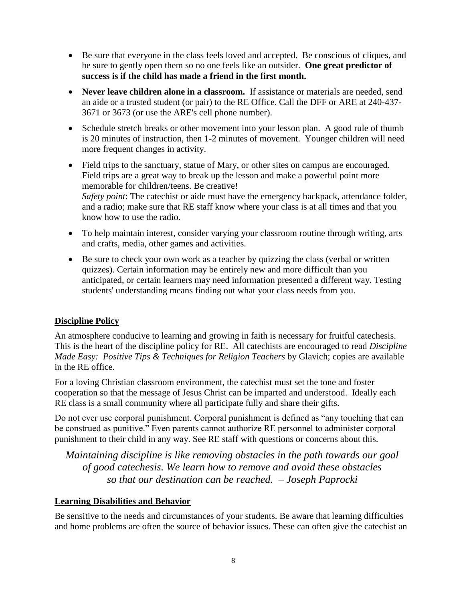- Be sure that everyone in the class feels loved and accepted. Be conscious of cliques, and be sure to gently open them so no one feels like an outsider. **One great predictor of success is if the child has made a friend in the first month.**
- **Never leave children alone in a classroom.** If assistance or materials are needed, send an aide or a trusted student (or pair) to the RE Office. Call the DFF or ARE at 240-437- 3671 or 3673 (or use the ARE's cell phone number).
- Schedule stretch breaks or other movement into your lesson plan. A good rule of thumb is 20 minutes of instruction, then 1-2 minutes of movement. Younger children will need more frequent changes in activity.
- Field trips to the sanctuary, statue of Mary, or other sites on campus are encouraged. Field trips are a great way to break up the lesson and make a powerful point more memorable for children/teens. Be creative! *Safety point*: The catechist or aide must have the emergency backpack, attendance folder, and a radio; make sure that RE staff know where your class is at all times and that you know how to use the radio.
- To help maintain interest, consider varying your classroom routine through writing, arts and crafts, media, other games and activities.
- Be sure to check your own work as a teacher by quizzing the class (verbal or written quizzes). Certain information may be entirely new and more difficult than you anticipated, or certain learners may need information presented a different way. Testing students' understanding means finding out what your class needs from you.

#### **Discipline Policy**

An atmosphere conducive to learning and growing in faith is necessary for fruitful catechesis. This is the heart of the discipline policy for RE. All catechists are encouraged to read *Discipline Made Easy: Positive Tips & Techniques for Religion Teachers* by Glavich; copies are available in the RE office.

For a loving Christian classroom environment, the catechist must set the tone and foster cooperation so that the message of Jesus Christ can be imparted and understood. Ideally each RE class is a small community where all participate fully and share their gifts.

Do not ever use corporal punishment. Corporal punishment is defined as "any touching that can be construed as punitive." Even parents cannot authorize RE personnel to administer corporal punishment to their child in any way. See RE staff with questions or concerns about this.

*Maintaining discipline is like removing obstacles in the path towards our goal of good catechesis. We learn how to remove and avoid these obstacles so that our destination can be reached. – Joseph Paprocki*

#### **Learning Disabilities and Behavior**

Be sensitive to the needs and circumstances of your students. Be aware that learning difficulties and home problems are often the source of behavior issues. These can often give the catechist an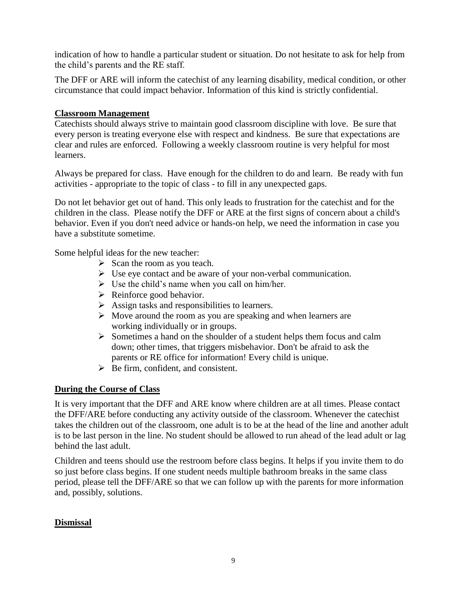indication of how to handle a particular student or situation. Do not hesitate to ask for help from the child's parents and the RE staff.

The DFF or ARE will inform the catechist of any learning disability, medical condition, or other circumstance that could impact behavior. Information of this kind is strictly confidential.

#### **Classroom Management**

Catechists should always strive to maintain good classroom discipline with love. Be sure that every person is treating everyone else with respect and kindness. Be sure that expectations are clear and rules are enforced. Following a weekly classroom routine is very helpful for most learners.

Always be prepared for class. Have enough for the children to do and learn. Be ready with fun activities - appropriate to the topic of class - to fill in any unexpected gaps.

Do not let behavior get out of hand. This only leads to frustration for the catechist and for the children in the class. Please notify the DFF or ARE at the first signs of concern about a child's behavior. Even if you don't need advice or hands-on help, we need the information in case you have a substitute sometime.

Some helpful ideas for the new teacher:

- $\triangleright$  Scan the room as you teach.
- $\triangleright$  Use eye contact and be aware of your non-verbal communication.
- $\triangleright$  Use the child's name when you call on him/her.
- $\triangleright$  Reinforce good behavior.
- $\triangleright$  Assign tasks and responsibilities to learners.
- $\triangleright$  Move around the room as you are speaking and when learners are working individually or in groups.
- $\triangleright$  Sometimes a hand on the shoulder of a student helps them focus and calm down; other times, that triggers misbehavior. Don't be afraid to ask the parents or RE office for information! Every child is unique.
- $\triangleright$  Be firm, confident, and consistent.

#### **During the Course of Class**

It is very important that the DFF and ARE know where children are at all times. Please contact the DFF/ARE before conducting any activity outside of the classroom. Whenever the catechist takes the children out of the classroom, one adult is to be at the head of the line and another adult is to be last person in the line. No student should be allowed to run ahead of the lead adult or lag behind the last adult.

Children and teens should use the restroom before class begins. It helps if you invite them to do so just before class begins. If one student needs multiple bathroom breaks in the same class period, please tell the DFF/ARE so that we can follow up with the parents for more information and, possibly, solutions.

#### **Dismissal**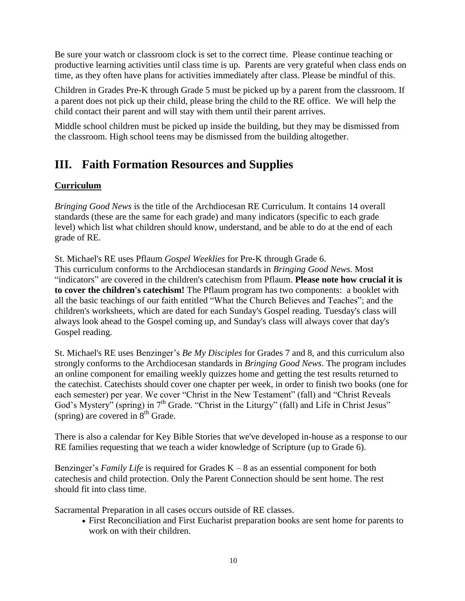Be sure your watch or classroom clock is set to the correct time. Please continue teaching or productive learning activities until class time is up. Parents are very grateful when class ends on time, as they often have plans for activities immediately after class. Please be mindful of this.

Children in Grades Pre-K through Grade 5 must be picked up by a parent from the classroom. If a parent does not pick up their child, please bring the child to the RE office. We will help the child contact their parent and will stay with them until their parent arrives.

Middle school children must be picked up inside the building, but they may be dismissed from the classroom. High school teens may be dismissed from the building altogether.

# **III. Faith Formation Resources and Supplies**

#### **Curriculum**

*Bringing Good News* is the title of the Archdiocesan RE Curriculum. It contains 14 overall standards (these are the same for each grade) and many indicators (specific to each grade level) which list what children should know, understand, and be able to do at the end of each grade of RE.

St. Michael's RE uses Pflaum *Gospel Weeklies* for Pre-K through Grade 6. This curriculum conforms to the Archdiocesan standards in *Bringing Good News.* Most "indicators" are covered in the children's catechism from Pflaum. **Please note how crucial it is to cover the children's catechism!** The Pflaum program has two components: a booklet with all the basic teachings of our faith entitled "What the Church Believes and Teaches"; and the children's worksheets, which are dated for each Sunday's Gospel reading. Tuesday's class will always look ahead to the Gospel coming up, and Sunday's class will always cover that day's Gospel reading.

St. Michael's RE uses Benzinger's *Be My Disciples* for Grades 7 and 8, and this curriculum also strongly conforms to the Archdiocesan standards in *Bringing Good News*. The program includes an online component for emailing weekly quizzes home and getting the test results returned to the catechist. Catechists should cover one chapter per week, in order to finish two books (one for each semester) per year. We cover "Christ in the New Testament" (fall) and "Christ Reveals God's Mystery" (spring) in  $7<sup>th</sup>$  Grade. "Christ in the Liturgy" (fall) and Life in Christ Jesus" (spring) are covered in  $8<sup>th</sup>$  Grade.

There is also a calendar for Key Bible Stories that we've developed in-house as a response to our RE families requesting that we teach a wider knowledge of Scripture (up to Grade 6).

Benzinger's *Family Life* is required for Grades K – 8 as an essential component for both catechesis and child protection. Only the Parent Connection should be sent home. The rest should fit into class time.

Sacramental Preparation in all cases occurs outside of RE classes.

 First Reconciliation and First Eucharist preparation books are sent home for parents to work on with their children.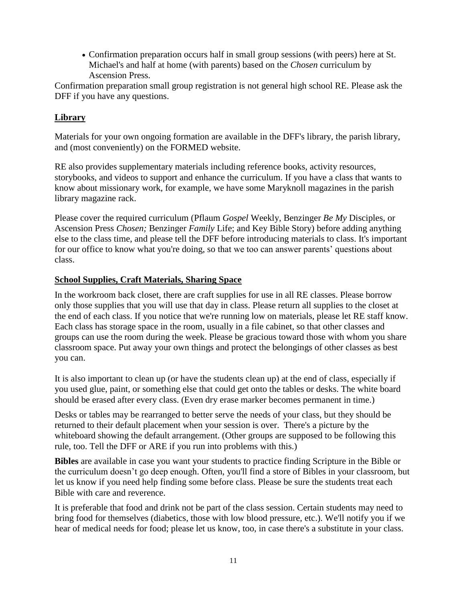Confirmation preparation occurs half in small group sessions (with peers) here at St. Michael's and half at home (with parents) based on the *Chosen* curriculum by Ascension Press.

Confirmation preparation small group registration is not general high school RE. Please ask the DFF if you have any questions.

#### **Library**

Materials for your own ongoing formation are available in the DFF's library, the parish library, and (most conveniently) on the FORMED website.

RE also provides supplementary materials including reference books, activity resources, storybooks, and videos to support and enhance the curriculum. If you have a class that wants to know about missionary work, for example, we have some Maryknoll magazines in the parish library magazine rack.

Please cover the required curriculum (Pflaum *Gospel* Weekly, Benzinger *Be My* Disciples, or Ascension Press *Chosen;* Benzinger *Family* Life; and Key Bible Story) before adding anything else to the class time, and please tell the DFF before introducing materials to class. It's important for our office to know what you're doing, so that we too can answer parents' questions about class.

#### **School Supplies, Craft Materials, Sharing Space**

In the workroom back closet, there are craft supplies for use in all RE classes. Please borrow only those supplies that you will use that day in class. Please return all supplies to the closet at the end of each class. If you notice that we're running low on materials, please let RE staff know. Each class has storage space in the room, usually in a file cabinet, so that other classes and groups can use the room during the week. Please be gracious toward those with whom you share classroom space. Put away your own things and protect the belongings of other classes as best you can.

It is also important to clean up (or have the students clean up) at the end of class, especially if you used glue, paint, or something else that could get onto the tables or desks. The white board should be erased after every class. (Even dry erase marker becomes permanent in time.)

Desks or tables may be rearranged to better serve the needs of your class, but they should be returned to their default placement when your session is over. There's a picture by the whiteboard showing the default arrangement. (Other groups are supposed to be following this rule, too. Tell the DFF or ARE if you run into problems with this.)

**Bibles** are available in case you want your students to practice finding Scripture in the Bible or the curriculum doesn't go deep enough. Often, you'll find a store of Bibles in your classroom, but let us know if you need help finding some before class. Please be sure the students treat each Bible with care and reverence.

It is preferable that food and drink not be part of the class session. Certain students may need to bring food for themselves (diabetics, those with low blood pressure, etc.). We'll notify you if we hear of medical needs for food; please let us know, too, in case there's a substitute in your class.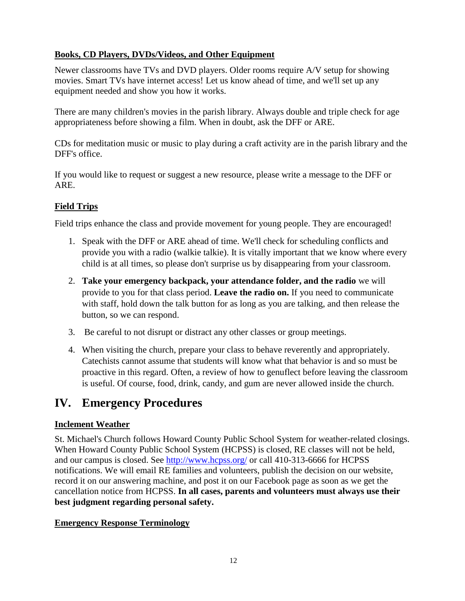#### **Books, CD Players, DVDs/Videos, and Other Equipment**

Newer classrooms have TVs and DVD players. Older rooms require A/V setup for showing movies. Smart TVs have internet access! Let us know ahead of time, and we'll set up any equipment needed and show you how it works.

There are many children's movies in the parish library. Always double and triple check for age appropriateness before showing a film. When in doubt, ask the DFF or ARE.

CDs for meditation music or music to play during a craft activity are in the parish library and the DFF's office.

If you would like to request or suggest a new resource, please write a message to the DFF or ARE.

#### **Field Trips**

Field trips enhance the class and provide movement for young people. They are encouraged!

- 1. Speak with the DFF or ARE ahead of time. We'll check for scheduling conflicts and provide you with a radio (walkie talkie). It is vitally important that we know where every child is at all times, so please don't surprise us by disappearing from your classroom.
- 2. **Take your emergency backpack, your attendance folder, and the radio** we will provide to you for that class period. **Leave the radio on.** If you need to communicate with staff, hold down the talk button for as long as you are talking, and then release the button, so we can respond.
- 3. Be careful to not disrupt or distract any other classes or group meetings.
- 4. When visiting the church, prepare your class to behave reverently and appropriately. Catechists cannot assume that students will know what that behavior is and so must be proactive in this regard. Often, a review of how to genuflect before leaving the classroom is useful. Of course, food, drink, candy, and gum are never allowed inside the church.

### **IV. Emergency Procedures**

#### **Inclement Weather**

St. Michael's Church follows Howard County Public School System for weather-related closings. When Howard County Public School System (HCPSS) is closed, RE classes will not be held, and our campus is closed. See<http://www.hcpss.org/> or call 410-313-6666 for HCPSS notifications. We will email RE families and volunteers, publish the decision on our website, record it on our answering machine, and post it on our Facebook page as soon as we get the cancellation notice from HCPSS. **In all cases, parents and volunteers must always use their best judgment regarding personal safety.**

#### **Emergency Response Terminology**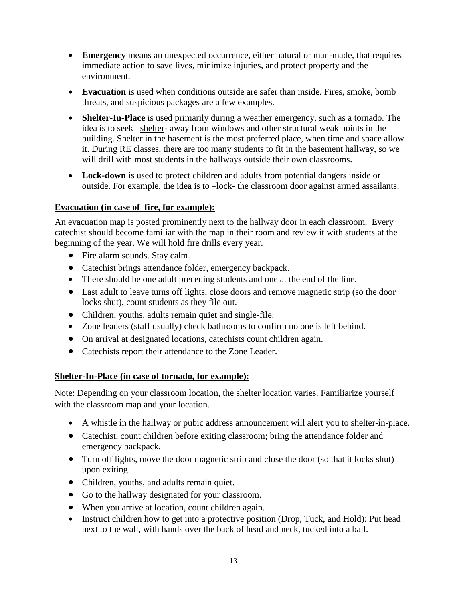- **Emergency** means an unexpected occurrence, either natural or man-made, that requires immediate action to save lives, minimize injuries, and protect property and the environment.
- **Evacuation** is used when conditions outside are safer than inside. Fires, smoke, bomb threats, and suspicious packages are a few examples.
- **Shelter-In-Place** is used primarily during a weather emergency, such as a tornado. The idea is to seek –shelter- away from windows and other structural weak points in the building. Shelter in the basement is the most preferred place, when time and space allow it. During RE classes, there are too many students to fit in the basement hallway, so we will drill with most students in the hallways outside their own classrooms.
- **Lock-down** is used to protect children and adults from potential dangers inside or outside. For example, the idea is to –lock- the classroom door against armed assailants.

#### **Evacuation (in case of fire, for example):**

An evacuation map is posted prominently next to the hallway door in each classroom. Every catechist should become familiar with the map in their room and review it with students at the beginning of the year. We will hold fire drills every year.

- Fire alarm sounds. Stay calm.
- Catechist brings attendance folder, emergency backpack.
- There should be one adult preceding students and one at the end of the line.
- Last adult to leave turns off lights, close doors and remove magnetic strip (so the door locks shut), count students as they file out.
- Children, youths, adults remain quiet and single-file.
- Zone leaders (staff usually) check bathrooms to confirm no one is left behind.
- On arrival at designated locations, catechists count children again.
- Catechists report their attendance to the Zone Leader.

#### **Shelter-In-Place (in case of tornado, for example):**

Note: Depending on your classroom location, the shelter location varies. Familiarize yourself with the classroom map and your location.

- A whistle in the hallway or pubic address announcement will alert you to shelter-in-place.
- Catechist, count children before exiting classroom; bring the attendance folder and emergency backpack.
- Turn off lights, move the door magnetic strip and close the door (so that it locks shut) upon exiting.
- Children, youths, and adults remain quiet.
- Go to the hallway designated for your classroom.
- When you arrive at location, count children again.
- Instruct children how to get into a protective position (Drop, Tuck, and Hold): Put head next to the wall, with hands over the back of head and neck, tucked into a ball.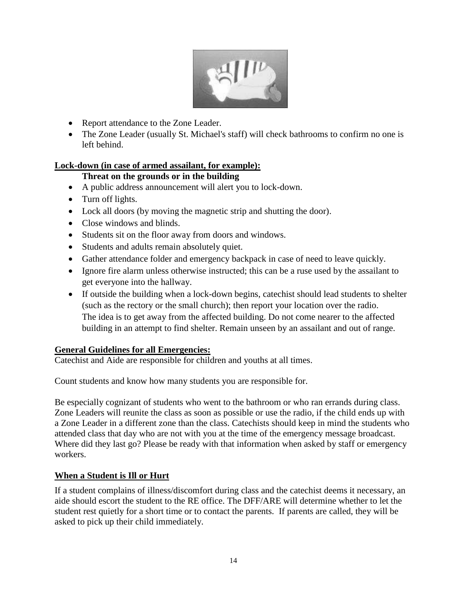

- Report attendance to the Zone Leader.
- The Zone Leader (usually St. Michael's staff) will check bathrooms to confirm no one is left behind.

#### **Lock-down (in case of armed assailant, for example):**

#### **Threat on the grounds or in the building**

- A public address announcement will alert you to lock-down.
- Turn off lights.
- Lock all doors (by moving the magnetic strip and shutting the door).
- Close windows and blinds.
- Students sit on the floor away from doors and windows.
- Students and adults remain absolutely quiet.
- Gather attendance folder and emergency backpack in case of need to leave quickly.
- Ignore fire alarm unless otherwise instructed; this can be a ruse used by the assailant to get everyone into the hallway.
- If outside the building when a lock-down begins, catechist should lead students to shelter (such as the rectory or the small church); then report your location over the radio. The idea is to get away from the affected building. Do not come nearer to the affected building in an attempt to find shelter. Remain unseen by an assailant and out of range.

#### **General Guidelines for all Emergencies:**

Catechist and Aide are responsible for children and youths at all times.

Count students and know how many students you are responsible for.

Be especially cognizant of students who went to the bathroom or who ran errands during class. Zone Leaders will reunite the class as soon as possible or use the radio, if the child ends up with a Zone Leader in a different zone than the class. Catechists should keep in mind the students who attended class that day who are not with you at the time of the emergency message broadcast. Where did they last go? Please be ready with that information when asked by staff or emergency workers.

#### **When a Student is Ill or Hurt**

If a student complains of illness/discomfort during class and the catechist deems it necessary, an aide should escort the student to the RE office. The DFF/ARE will determine whether to let the student rest quietly for a short time or to contact the parents. If parents are called, they will be asked to pick up their child immediately.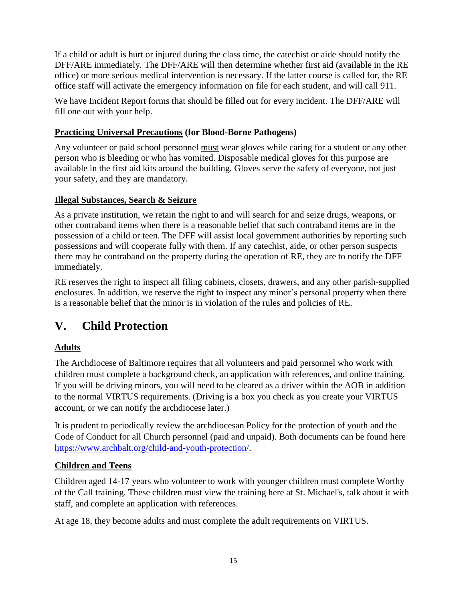If a child or adult is hurt or injured during the class time, the catechist or aide should notify the DFF/ARE immediately*.* The DFF/ARE will then determine whether first aid (available in the RE office) or more serious medical intervention is necessary. If the latter course is called for, the RE office staff will activate the emergency information on file for each student, and will call 911.

We have Incident Report forms that should be filled out for every incident. The DFF/ARE will fill one out with your help.

#### **Practicing Universal Precautions (for Blood-Borne Pathogens)**

Any volunteer or paid school personnel must wear gloves while caring for a student or any other person who is bleeding or who has vomited. Disposable medical gloves for this purpose are available in the first aid kits around the building. Gloves serve the safety of everyone, not just your safety, and they are mandatory.

#### **Illegal Substances, Search & Seizure**

As a private institution, we retain the right to and will search for and seize drugs, weapons, or other contraband items when there is a reasonable belief that such contraband items are in the possession of a child or teen. The DFF will assist local government authorities by reporting such possessions and will cooperate fully with them. If any catechist, aide, or other person suspects there may be contraband on the property during the operation of RE, they are to notify the DFF immediately.

RE reserves the right to inspect all filing cabinets, closets, drawers, and any other parish-supplied enclosures. In addition, we reserve the right to inspect any minor's personal property when there is a reasonable belief that the minor is in violation of the rules and policies of RE.

# **V. Child Protection**

#### **Adults**

The Archdiocese of Baltimore requires that all volunteers and paid personnel who work with children must complete a background check, an application with references, and online training. If you will be driving minors, you will need to be cleared as a driver within the AOB in addition to the normal VIRTUS requirements. (Driving is a box you check as you create your VIRTUS account, or we can notify the archdiocese later.)

It is prudent to periodically review the archdiocesan Policy for the protection of youth and the Code of Conduct for all Church personnel (paid and unpaid). Both documents can be found here [https://www.archbalt.org/child-and-youth-protection/.](https://www.archbalt.org/child-and-youth-protection/)

#### **Children and Teens**

Children aged 14-17 years who volunteer to work with younger children must complete Worthy of the Call training. These children must view the training here at St. Michael's, talk about it with staff, and complete an application with references.

At age 18, they become adults and must complete the adult requirements on VIRTUS.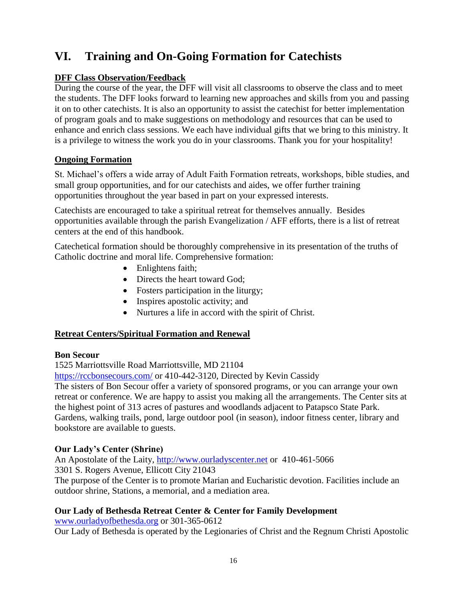# **VI. Training and On-Going Formation for Catechists**

#### **DFF Class Observation/Feedback**

During the course of the year, the DFF will visit all classrooms to observe the class and to meet the students. The DFF looks forward to learning new approaches and skills from you and passing it on to other catechists. It is also an opportunity to assist the catechist for better implementation of program goals and to make suggestions on methodology and resources that can be used to enhance and enrich class sessions. We each have individual gifts that we bring to this ministry. It is a privilege to witness the work you do in your classrooms. Thank you for your hospitality!

#### **Ongoing Formation**

St. Michael's offers a wide array of Adult Faith Formation retreats, workshops, bible studies, and small group opportunities, and for our catechists and aides, we offer further training opportunities throughout the year based in part on your expressed interests.

Catechists are encouraged to take a spiritual retreat for themselves annually. Besides opportunities available through the parish Evangelization / AFF efforts, there is a list of retreat centers at the end of this handbook.

Catechetical formation should be thoroughly comprehensive in its presentation of the truths of Catholic doctrine and moral life. Comprehensive formation:

- Enlightens faith;
- Directs the heart toward God;
- Fosters participation in the liturgy;
- Inspires apostolic activity; and
- Nurtures a life in accord with the spirit of Christ.

#### **Retreat Centers/Spiritual Formation and Renewal**

#### **Bon Secour**

1525 Marriottsville Road Marriottsville, MD 21104

<https://rccbonsecours.com/> or 410-442-3120, Directed by Kevin Cassidy

The sisters of Bon Secour offer a variety of sponsored programs, or you can arrange your own retreat or conference. We are happy to assist you making all the arrangements. The Center sits at the highest point of 313 acres of pastures and woodlands adjacent to Patapsco State Park. Gardens, walking trails, pond, large outdoor pool (in season), indoor fitness center, library and bookstore are available to guests.

#### **Our Lady's Center (Shrine)**

An Apostolate of the Laity, [http://www.ourladyscenter.net](http://www.ourladyscenter.net/) or 410-461-5066 3301 S. Rogers Avenue, Ellicott City 21043 The purpose of the Center is to promote Marian and Eucharistic devotion. Facilities include an outdoor shrine, Stations, a memorial, and a mediation area.

#### **Our Lady of Bethesda Retreat Center & Center for Family Development**

[www.ourladyofbethesda.org](http://www.ourladyofbethesda.org/) or 301-365-0612 Our Lady of Bethesda is operated by the Legionaries of Christ and the Regnum Christi Apostolic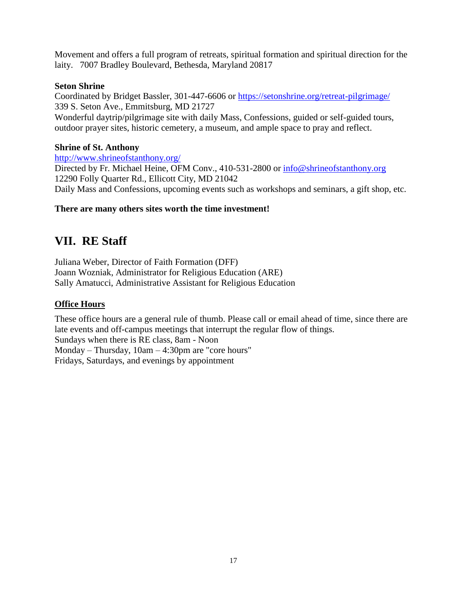Movement and offers a full program of retreats, spiritual formation and spiritual direction for the laity. 7007 Bradley Boulevard, Bethesda, Maryland 20817

#### **Seton Shrine**

Coordinated by Bridget Bassler, 301-447-6606 or<https://setonshrine.org/retreat-pilgrimage/> 339 S. Seton Ave., Emmitsburg, MD 21727 Wonderful daytrip/pilgrimage site with daily Mass, Confessions, guided or self-guided tours, outdoor prayer sites, historic cemetery, a museum, and ample space to pray and reflect.

#### **Shrine of St. Anthony**

<http://www.shrineofstanthony.org/>

Directed by Fr. Michael Heine, OFM Conv., 410-531-2800 or [info@shrineofstanthony.org](mailto:info@shrineofstanthony.org) 12290 Folly Quarter Rd., Ellicott City, MD 21042 Daily Mass and Confessions, upcoming events such as workshops and seminars, a gift shop, etc.

#### **There are many others sites worth the time investment!**

# **VII. RE Staff**

Juliana Weber, Director of Faith Formation (DFF) Joann Wozniak, Administrator for Religious Education (ARE) Sally Amatucci, Administrative Assistant for Religious Education

#### **Office Hours**

These office hours are a general rule of thumb. Please call or email ahead of time, since there are late events and off-campus meetings that interrupt the regular flow of things. Sundays when there is RE class, 8am - Noon Monday – Thursday, 10am – 4:30pm are "core hours" Fridays, Saturdays, and evenings by appointment